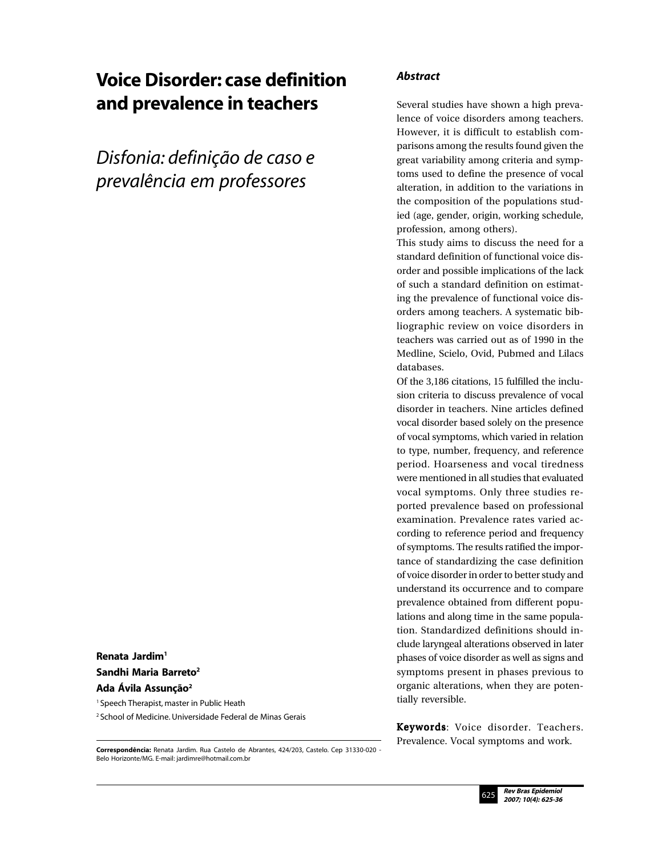# Voice Disorder: case definition and prevalence in teachers

*Disfonia: definição de caso e prevalência em professores*

Renata Jardim1 Sandhi Maria Barreto<sup>2</sup> Ada Ávila Assunção<sup>2</sup>

<sup>1</sup> Speech Therapist, master in Public Heath

2 School of Medicine. Universidade Federal de Minas Gerais

**Correspondência:** Renata Jardim. Rua Castelo de Abrantes, 424/203, Castelo. Cep 31330-020 - Belo Horizonte/MG. E-mail: jardimre@hotmail.com.br

## *Abstract*

Several studies have shown a high prevalence of voice disorders among teachers. However, it is difficult to establish comparisons among the results found given the great variability among criteria and symptoms used to define the presence of vocal alteration, in addition to the variations in the composition of the populations studied (age, gender, origin, working schedule, profession, among others).

This study aims to discuss the need for a standard definition of functional voice disorder and possible implications of the lack of such a standard definition on estimating the prevalence of functional voice disorders among teachers. A systematic bibliographic review on voice disorders in teachers was carried out as of 1990 in the Medline, Scielo, Ovid, Pubmed and Lilacs databases.

Of the 3,186 citations, 15 fulfilled the inclusion criteria to discuss prevalence of vocal disorder in teachers. Nine articles defined vocal disorder based solely on the presence of vocal symptoms, which varied in relation to type, number, frequency, and reference period. Hoarseness and vocal tiredness were mentioned in all studies that evaluated vocal symptoms. Only three studies reported prevalence based on professional examination. Prevalence rates varied according to reference period and frequency of symptoms. The results ratified the importance of standardizing the case definition of voice disorder in order to better study and understand its occurrence and to compare prevalence obtained from different populations and along time in the same population. Standardized definitions should include laryngeal alterations observed in later phases of voice disorder as well as signs and symptoms present in phases previous to organic alterations, when they are potentially reversible.

Keywords: Voice disorder. Teachers. Prevalence. Vocal symptoms and work.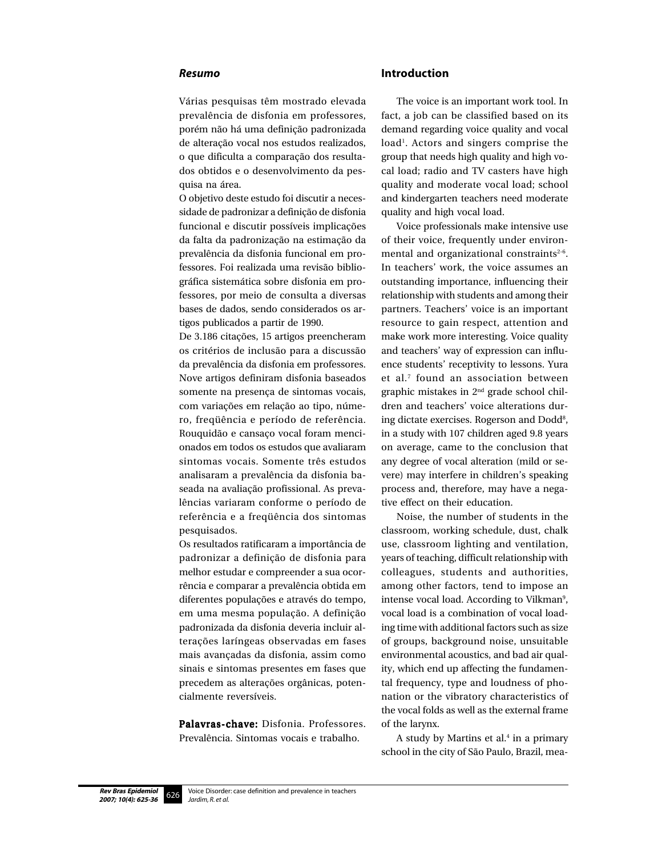#### *Resumo*

Várias pesquisas têm mostrado elevada prevalência de disfonia em professores, porém não há uma definição padronizada de alteração vocal nos estudos realizados, o que dificulta a comparação dos resultados obtidos e o desenvolvimento da pesquisa na área.

O objetivo deste estudo foi discutir a necessidade de padronizar a definição de disfonia funcional e discutir possíveis implicações da falta da padronização na estimação da prevalência da disfonia funcional em professores. Foi realizada uma revisão bibliográfica sistemática sobre disfonia em professores, por meio de consulta a diversas bases de dados, sendo considerados os artigos publicados a partir de 1990.

De 3.186 citações, 15 artigos preencheram os critérios de inclusão para a discussão da prevalência da disfonia em professores. Nove artigos definiram disfonia baseados somente na presença de sintomas vocais, com variações em relação ao tipo, número, freqüência e período de referência. Rouquidão e cansaço vocal foram mencionados em todos os estudos que avaliaram sintomas vocais. Somente três estudos analisaram a prevalência da disfonia baseada na avaliação profissional. As prevalências variaram conforme o período de referência e a freqüência dos sintomas pesquisados.

Os resultados ratificaram a importância de padronizar a definição de disfonia para melhor estudar e compreender a sua ocorrência e comparar a prevalência obtida em diferentes populações e através do tempo, em uma mesma população. A definição padronizada da disfonia deveria incluir alterações laríngeas observadas em fases mais avançadas da disfonia, assim como sinais e sintomas presentes em fases que precedem as alterações orgânicas, potencialmente reversíveis.

Palavras-chave: Disfonia. Professores. Prevalência. Sintomas vocais e trabalho.

#### **Introduction**

The voice is an important work tool. In fact, a job can be classified based on its demand regarding voice quality and vocal load<sup>1</sup>. Actors and singers comprise the group that needs high quality and high vocal load; radio and TV casters have high quality and moderate vocal load; school and kindergarten teachers need moderate quality and high vocal load.

Voice professionals make intensive use of their voice, frequently under environmental and organizational constraints<sup>2-6</sup>. In teachers' work, the voice assumes an outstanding importance, influencing their relationship with students and among their partners. Teachers' voice is an important resource to gain respect, attention and make work more interesting. Voice quality and teachers' way of expression can influence students' receptivity to lessons. Yura et al.7 found an association between graphic mistakes in 2nd grade school children and teachers' voice alterations during dictate exercises. Rogerson and Dodd<sup>8</sup>, in a study with 107 children aged 9.8 years on average, came to the conclusion that any degree of vocal alteration (mild or severe) may interfere in children's speaking process and, therefore, may have a negative effect on their education.

Noise, the number of students in the classroom, working schedule, dust, chalk use, classroom lighting and ventilation, years of teaching, difficult relationship with colleagues, students and authorities, among other factors, tend to impose an intense vocal load. According to Vilkman<sup>9</sup>, vocal load is a combination of vocal loading time with additional factors such as size of groups, background noise, unsuitable environmental acoustics, and bad air quality, which end up affecting the fundamental frequency, type and loudness of phonation or the vibratory characteristics of the vocal folds as well as the external frame of the larynx.

A study by Martins et al.<sup>4</sup> in a primary school in the city of São Paulo, Brazil, mea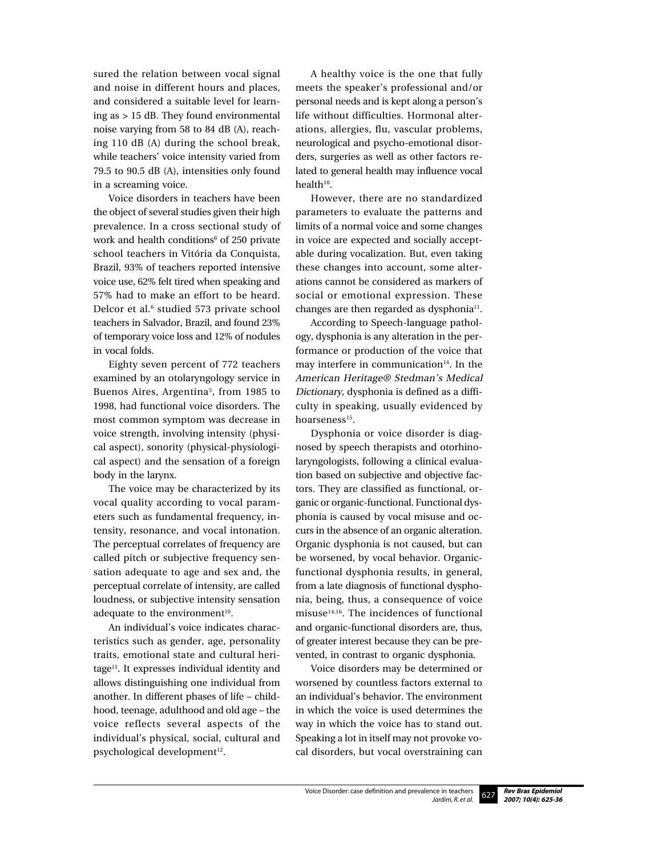sured the relation between vocal signal and noise in different hours and places, and considered a suitable level for learning as > 15 dB. They found environmental noise varying from 58 to 84 dB (A), reaching 110 dB (A) during the school break, while teachers' voice intensity varied from 79.5 to 90.5 dB (A), intensities only found in a screaming voice.

Voice disorders in teachers have been the object of several studies given their high prevalence. In a cross sectional study of work and health conditions<sup>6</sup> of 250 private school teachers in Vitória da Conquista, Brazil, 93% of teachers reported intensive voice use, 62% felt tired when speaking and 57% had to make an effort to be heard. Delcor et al.<sup>6</sup> studied 573 private school teachers in Salvador, Brazil, and found 23% of temporary voice loss and 12% of nodules in vocal folds.

Eighty seven percent of 772 teachers examined by an otolaryngology service in Buenos Aires, Argentina<sup>5</sup>, from 1985 to 1998, had functional voice disorders. The most common symptom was decrease in voice strength, involving intensity (physical aspect), sonority (physical-physiological aspect) and the sensation of a foreign body in the larynx.

The voice may be characterized by its vocal quality according to vocal parameters such as fundamental frequency, intensity, resonance, and vocal intonation. The perceptual correlates of frequency are called pitch or subjective frequency sensation adequate to age and sex and, the perceptual correlate of intensity, are called loudness, or subjective intensity sensation adequate to the environment<sup>10</sup>.

An individual's voice indicates characteristics such as gender, age, personality traits, emotional state and cultural heritage<sup>11</sup>. It expresses individual identity and allows distinguishing one individual from another. In different phases of life – childhood, teenage, adulthood and old age – the voice reflects several aspects of the individual's physical, social, cultural and psychological development<sup>12</sup>.

A healthy voice is the one that fully meets the speaker's professional and/or personal needs and is kept along a person's life without difficulties. Hormonal alterations, allergies, flu, vascular problems, neurological and psycho-emotional disorders, surgeries as well as other factors related to general health may influence vocal  $health<sup>10</sup>.$ 

However, there are no standardized parameters to evaluate the patterns and limits of a normal voice and some changes in voice are expected and socially acceptable during vocalization. But, even taking these changes into account, some alterations cannot be considered as markers of social or emotional expression. These changes are then regarded as dysphonia<sup>11</sup>.

According to Speech-language pathology, dysphonia is any alteration in the performance or production of the voice that may interfere in communication $14$ . In the American Heritage® Stedman's Medical Dictionary, dysphonia is defined as a difficulty in speaking, usually evidenced by hoarseness<sup>15</sup>.

Dysphonia or voice disorder is diagnosed by speech therapists and otorhinolaryngologists, following a clinical evaluation based on subjective and objective factors. They are classified as functional, organic or organic-functional. Functional dysphonia is caused by vocal misuse and occurs in the absence of an organic alteration. Organic dysphonia is not caused, but can be worsened, by vocal behavior. Organicfunctional dysphonia results, in general, from a late diagnosis of functional dysphonia, being, thus, a consequence of voice misuse $14,16$ . The incidences of functional and organic-functional disorders are, thus, of greater interest because they can be prevented, in contrast to organic dysphonia.

Voice disorders may be determined or worsened by countless factors external to an individual's behavior. The environment in which the voice is used determines the way in which the voice has to stand out. Speaking a lot in itself may not provoke vocal disorders, but vocal overstraining can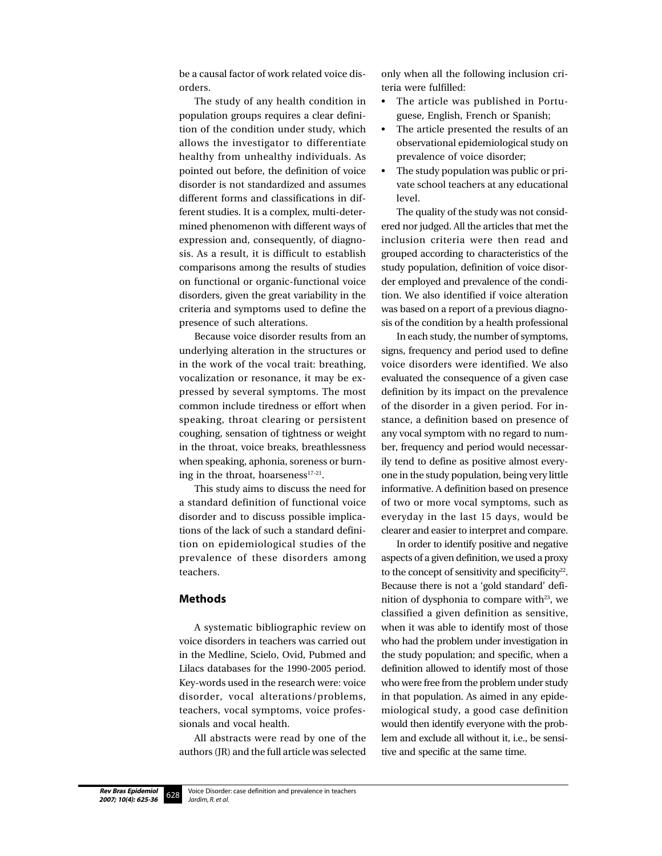be a causal factor of work related voice disorders.

The study of any health condition in population groups requires a clear definition of the condition under study, which allows the investigator to differentiate healthy from unhealthy individuals. As pointed out before, the definition of voice disorder is not standardized and assumes different forms and classifications in different studies. It is a complex, multi-determined phenomenon with different ways of expression and, consequently, of diagnosis. As a result, it is difficult to establish comparisons among the results of studies on functional or organic-functional voice disorders, given the great variability in the criteria and symptoms used to define the presence of such alterations.

Because voice disorder results from an underlying alteration in the structures or in the work of the vocal trait: breathing, vocalization or resonance, it may be expressed by several symptoms. The most common include tiredness or effort when speaking, throat clearing or persistent coughing, sensation of tightness or weight in the throat, voice breaks, breathlessness when speaking, aphonia, soreness or burning in the throat, hoarseness<sup>17-21</sup>.

This study aims to discuss the need for a standard definition of functional voice disorder and to discuss possible implications of the lack of such a standard definition on epidemiological studies of the prevalence of these disorders among teachers.

#### **Methods**

A systematic bibliographic review on voice disorders in teachers was carried out in the Medline, Scielo, Ovid, Pubmed and Lilacs databases for the 1990-2005 period. Key-words used in the research were: voice disorder, vocal alterations/problems, teachers, vocal symptoms, voice professionals and vocal health.

All abstracts were read by one of the authors (JR) and the full article was selected only when all the following inclusion criteria were fulfilled:

- The article was published in Portuguese, English, French or Spanish;
- The article presented the results of an observational epidemiological study on prevalence of voice disorder;
- The study population was public or private school teachers at any educational level.

The quality of the study was not considered nor judged. All the articles that met the inclusion criteria were then read and grouped according to characteristics of the study population, definition of voice disorder employed and prevalence of the condition. We also identified if voice alteration was based on a report of a previous diagnosis of the condition by a health professional

In each study, the number of symptoms, signs, frequency and period used to define voice disorders were identified. We also evaluated the consequence of a given case definition by its impact on the prevalence of the disorder in a given period. For instance, a definition based on presence of any vocal symptom with no regard to number, frequency and period would necessarily tend to define as positive almost everyone in the study population, being very little informative. A definition based on presence of two or more vocal symptoms, such as everyday in the last 15 days, would be clearer and easier to interpret and compare.

In order to identify positive and negative aspects of a given definition, we used a proxy to the concept of sensitivity and specificity $22$ . Because there is not a 'gold standard' definition of dysphonia to compare with $23$ , we classified a given definition as sensitive, when it was able to identify most of those who had the problem under investigation in the study population; and specific, when a definition allowed to identify most of those who were free from the problem under study in that population. As aimed in any epidemiological study, a good case definition would then identify everyone with the problem and exclude all without it, i.e., be sensitive and specific at the same time.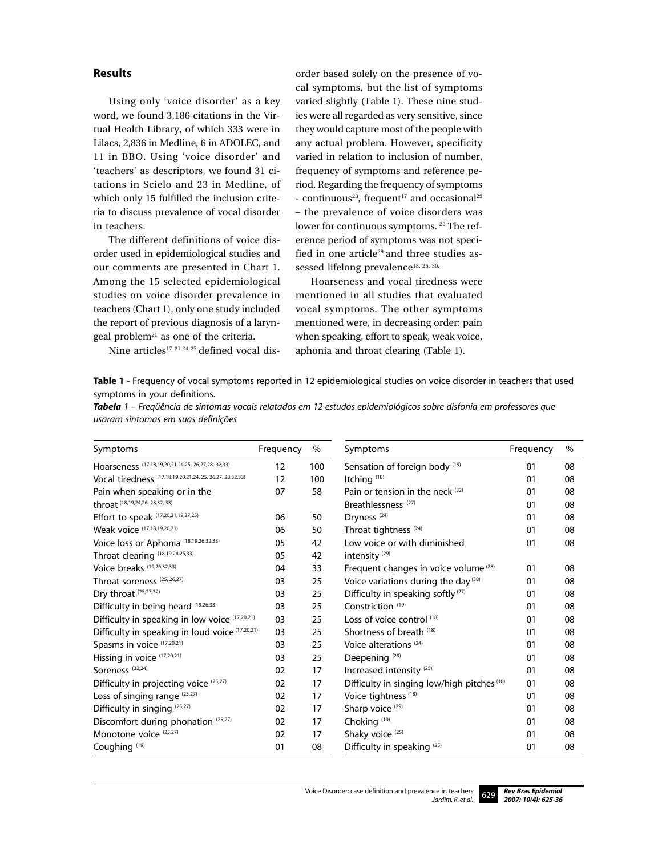# **Results**

Using only 'voice disorder' as a key word, we found 3,186 citations in the Virtual Health Library, of which 333 were in Lilacs, 2,836 in Medline, 6 in ADOLEC, and 11 in BBO. Using 'voice disorder' and 'teachers' as descriptors, we found 31 citations in Scielo and 23 in Medline, of which only 15 fulfilled the inclusion criteria to discuss prevalence of vocal disorder in teachers.

The different definitions of voice disorder used in epidemiological studies and our comments are presented in Chart 1. Among the 15 selected epidemiological studies on voice disorder prevalence in teachers (Chart 1), only one study included the report of previous diagnosis of a laryn- $\gamma$  geal problem<sup>21</sup> as one of the criteria.

Nine articles<sup>17-21,24-27</sup> defined vocal dis-

order based solely on the presence of vocal symptoms, but the list of symptoms varied slightly (Table 1). These nine studies were all regarded as very sensitive, since they would capture most of the people with any actual problem. However, specificity varied in relation to inclusion of number, frequency of symptoms and reference period. Regarding the frequency of symptoms - continuous<sup>28</sup>, frequent<sup>17</sup> and occasional<sup>29</sup> – the prevalence of voice disorders was lower for continuous symptoms. <sup>28</sup> The reference period of symptoms was not specified in one article<sup>29</sup> and three studies assessed lifelong prevalence<sup>18, 25, 30.</sup>

Hoarseness and vocal tiredness were mentioned in all studies that evaluated vocal symptoms. The other symptoms mentioned were, in decreasing order: pain when speaking, effort to speak, weak voice, aphonia and throat clearing (Table 1).

**Table 1** - Frequency of vocal symptoms reported in 12 epidemiological studies on voice disorder in teachers that used symptoms in your definitions.

| Tabela 1 – Freqüência de sintomas vocais relatados em 12 estudos epidemiológicos sobre disfonia em professores que |  |  |
|--------------------------------------------------------------------------------------------------------------------|--|--|
| usaram sintomas em suas definições                                                                                 |  |  |

| Symptoms                                                 | Frequency | $\%$ | Symptoms                                         | Frequency | $\%$ |
|----------------------------------------------------------|-----------|------|--------------------------------------------------|-----------|------|
| Hoarseness (17,18,19,20,21,24,25, 26,27,28, 32,33)       | 12        | 100  | Sensation of foreign body (19)                   | 01        | 08   |
| Vocal tiredness (17,18,19,20,21,24, 25, 26,27, 28,32,33) | 12        | 100  | Itching <sup>(18)</sup>                          | 01        | 08   |
| Pain when speaking or in the                             | 07        | 58   | Pain or tension in the neck $(32)$               | 01        | 08   |
| throat (18, 19, 24, 26, 28, 32, 33)                      |           |      | Breathlessness <sup>(27)</sup>                   | 01        | 08   |
| Effort to speak (17,20,21,19,27,25)                      | 06        | 50   | Dryness <sup>(24)</sup>                          | 01        | 08   |
| Weak voice (17,18,19,20,21)                              | 06        | 50   | Throat tightness <sup>(24)</sup>                 | 01        | 08   |
| Voice loss or Aphonia (18,19,26,32,33)                   | 05        | 42   | Low voice or with diminished                     | 01        | 08   |
| Throat clearing (18,19,24,25,33)                         | 05        | 42   | intensity <sup>(29)</sup>                        |           |      |
| Voice breaks (19,26,32,33)                               | 04        | 33   | Frequent changes in voice volume <sup>(28)</sup> | 01        | 08   |
| Throat soreness <sup>(25, 26, 27)</sup>                  | 03        | 25   | Voice variations during the day (38)             | 01        | 08   |
| Dry throat (25,27,32)                                    | 03        | 25   | Difficulty in speaking softly <sup>(27)</sup>    | 01        | 08   |
| Difficulty in being heard (19,26,33)                     | 03        | 25   | Constriction <sup>(19)</sup>                     | 01        | 08   |
| Difficulty in speaking in low voice (17,20,21)           | 03        | 25   | Loss of voice control (18)                       | 01        | 08   |
| Difficulty in speaking in loud voice (17,20,21)          | 03        | 25   | Shortness of breath (18)                         | 01        | 08   |
| Spasms in voice (17,20,21)                               | 03        | 25   | Voice alterations (24)                           | 01        | 08   |
| Hissing in voice (17,20,21)                              | 03        | 25   | Deepening <sup>(29)</sup>                        | 01        | 08   |
| Soreness <sup>(32,24)</sup>                              | 02        | 17   | Increased intensity <sup>(25)</sup>              | 01        | 08   |
| Difficulty in projecting voice (25,27)                   | 02        | 17   | Difficulty in singing low/high pitches (18)      | 01        | 08   |
| Loss of singing range (25,27)                            | 02        | 17   | Voice tightness <sup>(18)</sup>                  | 01        | 08   |
| Difficulty in singing (25,27)                            | 02        | 17   | Sharp voice <sup>(29)</sup>                      | 01        | 08   |
| Discomfort during phonation (25,27)                      | 02        | 17   | Choking <sup>(19)</sup>                          | 01        | 08   |
| Monotone voice (25,27)                                   | 02        | 17   | Shaky voice <sup>(25)</sup>                      | 01        | 08   |
| Coughing <sup>(19)</sup>                                 | 01        | 08   | Difficulty in speaking (25)                      | 01        | 08   |

Voice Disorder: case definition and prevalence in teachers *Jardim, R. et al.*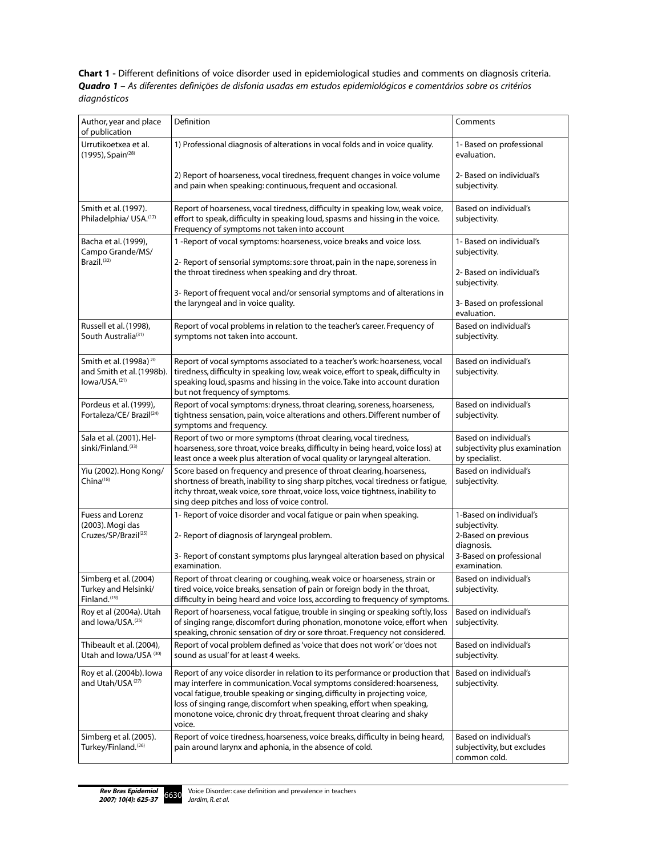**Chart 1 -** Different definitions of voice disorder used in epidemiological studies and comments on diagnosis criteria. *Quadro 1 – As diferentes definições de disfonia usadas em estudos epidemiológicos e comentários sobre os critérios diagnósticos*

| Author, year and place<br>of publication                                                     | Definition                                                                                                                                                                                                                                                                                                                                                                                            | Comments                                                                 |
|----------------------------------------------------------------------------------------------|-------------------------------------------------------------------------------------------------------------------------------------------------------------------------------------------------------------------------------------------------------------------------------------------------------------------------------------------------------------------------------------------------------|--------------------------------------------------------------------------|
| Urrutikoetxea et al.<br>(1995), Spain <sup>(28)</sup>                                        | 1) Professional diagnosis of alterations in vocal folds and in voice quality.                                                                                                                                                                                                                                                                                                                         | 1- Based on professional<br>evaluation.                                  |
|                                                                                              | 2) Report of hoarseness, vocal tiredness, frequent changes in voice volume<br>and pain when speaking: continuous, frequent and occasional.                                                                                                                                                                                                                                                            | 2- Based on individual's<br>subjectivity.                                |
| Smith et al. (1997).<br>Philadelphia/ USA.(17)                                               | Report of hoarseness, vocal tiredness, difficulty in speaking low, weak voice,<br>effort to speak, difficulty in speaking loud, spasms and hissing in the voice.<br>Frequency of symptoms not taken into account                                                                                                                                                                                      | Based on individual's<br>subjectivity.                                   |
| Bacha et al. (1999),<br>Campo Grande/MS/                                                     | 1 -Report of vocal symptoms: hoarseness, voice breaks and voice loss.                                                                                                                                                                                                                                                                                                                                 | 1- Based on individual's<br>subjectivity.                                |
| Brazil. <sup>(32)</sup>                                                                      | 2- Report of sensorial symptoms: sore throat, pain in the nape, soreness in<br>the throat tiredness when speaking and dry throat.                                                                                                                                                                                                                                                                     | 2- Based on individual's<br>subjectivity.                                |
|                                                                                              | 3- Report of frequent vocal and/or sensorial symptoms and of alterations in<br>the laryngeal and in voice quality.                                                                                                                                                                                                                                                                                    | 3- Based on professional<br>evaluation.                                  |
| Russell et al. (1998),<br>South Australia(31)                                                | Report of vocal problems in relation to the teacher's career. Frequency of<br>symptoms not taken into account.                                                                                                                                                                                                                                                                                        | Based on individual's<br>subjectivity.                                   |
| Smith et al. (1998a) <sup>20</sup><br>and Smith et al. (1998b).<br>lowa/USA. <sup>(21)</sup> | Report of vocal symptoms associated to a teacher's work: hoarseness, vocal<br>tiredness, difficulty in speaking low, weak voice, effort to speak, difficulty in<br>speaking loud, spasms and hissing in the voice. Take into account duration<br>but not frequency of symptoms.                                                                                                                       | Based on individual's<br>subjectivity.                                   |
| Pordeus et al. (1999),<br>Fortaleza/CE/ Brazil(24)                                           | Report of vocal symptoms: dryness, throat clearing, soreness, hoarseness,<br>tightness sensation, pain, voice alterations and others. Different number of<br>symptoms and frequency.                                                                                                                                                                                                                  | Based on individual's<br>subjectivity.                                   |
| Sala et al. (2001). Hel-<br>sinki/Finland. <sup>(33)</sup>                                   | Report of two or more symptoms (throat clearing, vocal tiredness,<br>hoarseness, sore throat, voice breaks, difficulty in being heard, voice loss) at<br>least once a week plus alteration of vocal quality or laryngeal alteration.                                                                                                                                                                  | Based on individual's<br>subjectivity plus examination<br>by specialist. |
| Yiu (2002). Hong Kong/<br>China <sup>(18)</sup>                                              | Score based on frequency and presence of throat clearing, hoarseness,<br>shortness of breath, inability to sing sharp pitches, vocal tiredness or fatigue,<br>itchy throat, weak voice, sore throat, voice loss, voice tightness, inability to<br>sing deep pitches and loss of voice control.                                                                                                        | Based on individual's<br>subjectivity.                                   |
| <b>Fuess and Lorenz</b><br>(2003). Mogi das                                                  | 1- Report of voice disorder and vocal fatigue or pain when speaking.                                                                                                                                                                                                                                                                                                                                  | 1-Based on individual's<br>subjectivity.                                 |
| Cruzes/SP/Brazil <sup>(25)</sup>                                                             | 2- Report of diagnosis of laryngeal problem.                                                                                                                                                                                                                                                                                                                                                          | 2-Based on previous<br>diagnosis.                                        |
|                                                                                              | 3- Report of constant symptoms plus laryngeal alteration based on physical<br>examination.                                                                                                                                                                                                                                                                                                            | 3-Based on professional<br>examination.                                  |
| Simberg et al. (2004)<br>Turkey and Helsinki/<br>Finland. <sup>(19)</sup>                    | Report of throat clearing or coughing, weak voice or hoarseness, strain or<br>tired voice, voice breaks, sensation of pain or foreign body in the throat,<br>difficulty in being heard and voice loss, according to frequency of symptoms.                                                                                                                                                            | Based on individual's<br>subjectivity.                                   |
| Roy et al (2004a). Utah<br>and lowa/USA. <sup>(25)</sup>                                     | Report of hoarseness, vocal fatigue, trouble in singing or speaking softly, loss<br>of singing range, discomfort during phonation, monotone voice, effort when<br>speaking, chronic sensation of dry or sore throat. Frequency not considered.                                                                                                                                                        | Based on individual's<br>subjectivity.                                   |
| Thibeault et al. (2004),<br>Utah and Iowa/USA (30)                                           | Report of vocal problem defined as 'voice that does not work' or 'does not<br>sound as usual' for at least 4 weeks.                                                                                                                                                                                                                                                                                   | Based on individual's<br>subjectivity.                                   |
| Roy et al. (2004b). lowa<br>and Utah/USA <sup>(27)</sup>                                     | Report of any voice disorder in relation to its performance or production that<br>may interfere in communication. Vocal symptoms considered: hoarseness,<br>vocal fatique, trouble speaking or singing, difficulty in projecting voice,<br>loss of singing range, discomfort when speaking, effort when speaking,<br>monotone voice, chronic dry throat, frequent throat clearing and shaky<br>voice. | Based on individual's<br>subjectivity.                                   |
| Simberg et al. (2005).<br>Turkey/Finland. <sup>(26)</sup>                                    | Report of voice tiredness, hoarseness, voice breaks, difficulty in being heard,<br>pain around larynx and aphonia, in the absence of cold.                                                                                                                                                                                                                                                            | Based on individual's<br>subjectivity, but excludes<br>common cold.      |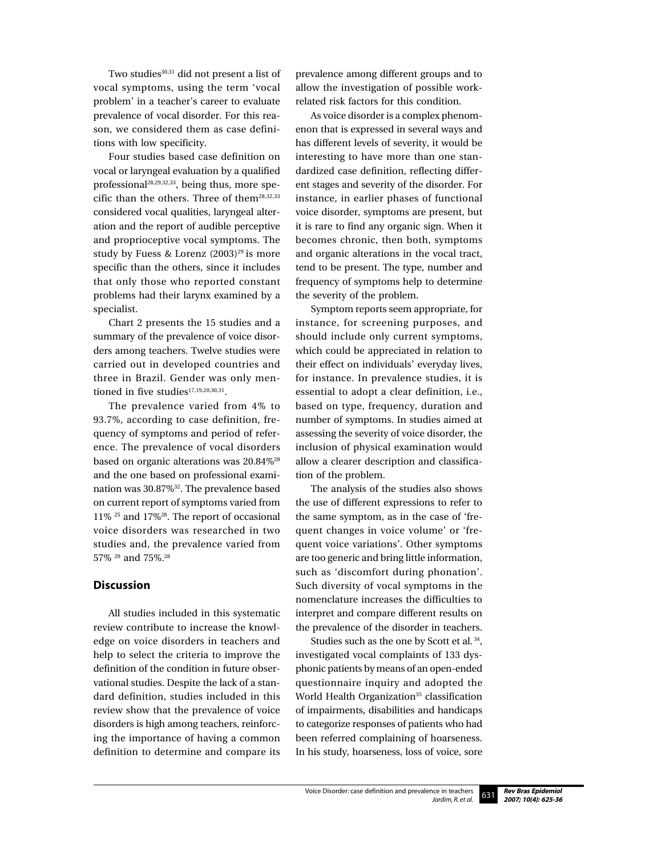Two studies<sup>30,31</sup> did not present a list of vocal symptoms, using the term 'vocal problem' in a teacher's career to evaluate prevalence of vocal disorder. For this reason, we considered them as case definitions with low specificity.

Four studies based case definition on vocal or laryngeal evaluation by a qualified professional28,29,32,33, being thus, more specific than the others. Three of them<sup>28,32,33</sup> considered vocal qualities, laryngeal alteration and the report of audible perceptive and proprioceptive vocal symptoms. The study by Fuess & Lorenz  $(2003)^{29}$  is more specific than the others, since it includes that only those who reported constant problems had their larynx examined by a specialist.

Chart 2 presents the 15 studies and a summary of the prevalence of voice disorders among teachers. Twelve studies were carried out in developed countries and three in Brazil. Gender was only mentioned in five studies<sup>17,19,20,30,31</sup>.

The prevalence varied from 4% to 93.7%, according to case definition, frequency of symptoms and period of reference. The prevalence of vocal disorders based on organic alterations was 20.84%<sup>28</sup> and the one based on professional examination was 30.87%32. The prevalence based on current report of symptoms varied from 11% 25 and 17%28. The report of occasional voice disorders was researched in two studies and, the prevalence varied from 57% 29 and 75%.28

## **Discussion**

All studies included in this systematic review contribute to increase the knowledge on voice disorders in teachers and help to select the criteria to improve the definition of the condition in future observational studies. Despite the lack of a standard definition, studies included in this review show that the prevalence of voice disorders is high among teachers, reinforcing the importance of having a common definition to determine and compare its

prevalence among different groups and to allow the investigation of possible workrelated risk factors for this condition.

As voice disorder is a complex phenomenon that is expressed in several ways and has different levels of severity, it would be interesting to have more than one standardized case definition, reflecting different stages and severity of the disorder. For instance, in earlier phases of functional voice disorder, symptoms are present, but it is rare to find any organic sign. When it becomes chronic, then both, symptoms and organic alterations in the vocal tract, tend to be present. The type, number and frequency of symptoms help to determine the severity of the problem.

Symptom reports seem appropriate, for instance, for screening purposes, and should include only current symptoms, which could be appreciated in relation to their effect on individuals' everyday lives, for instance. In prevalence studies, it is essential to adopt a clear definition, i.e., based on type, frequency, duration and number of symptoms. In studies aimed at assessing the severity of voice disorder, the inclusion of physical examination would allow a clearer description and classification of the problem.

The analysis of the studies also shows the use of different expressions to refer to the same symptom, as in the case of 'frequent changes in voice volume' or 'frequent voice variations'. Other symptoms are too generic and bring little information, such as 'discomfort during phonation'. Such diversity of vocal symptoms in the nomenclature increases the difficulties to interpret and compare different results on the prevalence of the disorder in teachers.

Studies such as the one by Scott et al. 34, investigated vocal complaints of 133 dysphonic patients by means of an open-ended questionnaire inquiry and adopted the World Health Organization<sup>35</sup> classification of impairments, disabilities and handicaps to categorize responses of patients who had been referred complaining of hoarseness. In his study, hoarseness, loss of voice, sore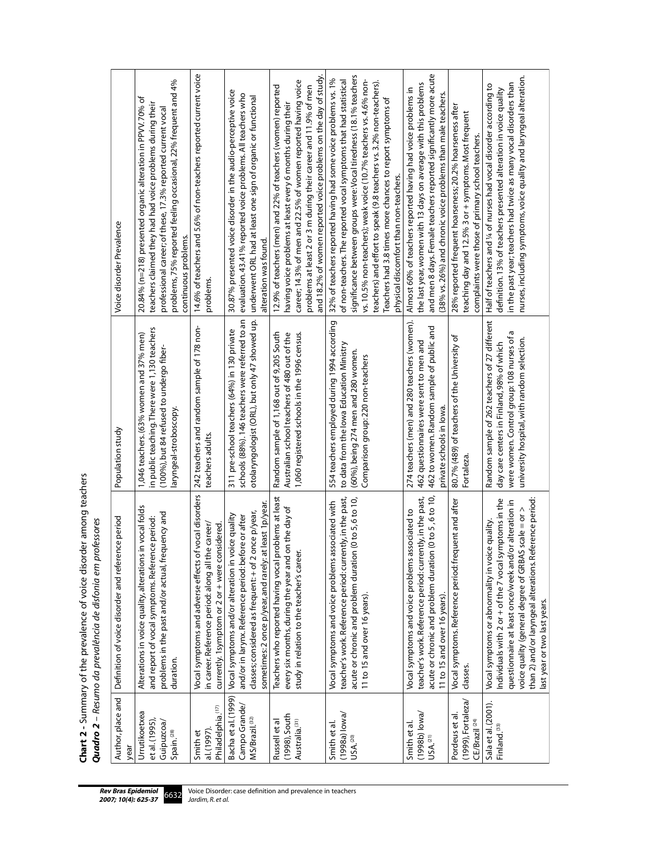| Author, place and<br>year                                              | Definition of voice disorder and reference period                                                                                                                                                                                                                                                                        | Population study                                                                                                                                                                           | Voice disorder Prevalence                                                                                                                                                                                                                                                                                                                                                                                                                                   |
|------------------------------------------------------------------------|--------------------------------------------------------------------------------------------------------------------------------------------------------------------------------------------------------------------------------------------------------------------------------------------------------------------------|--------------------------------------------------------------------------------------------------------------------------------------------------------------------------------------------|-------------------------------------------------------------------------------------------------------------------------------------------------------------------------------------------------------------------------------------------------------------------------------------------------------------------------------------------------------------------------------------------------------------------------------------------------------------|
| Urrutikoetxea<br>et al. (1995)<br>Guipuzcoa/<br>Spain. <sup>(28)</sup> | Alterations in voice quality, alterations in vocal folds<br>problems in the past and/or actual, frequency and<br>and report of vocal symptoms. Reference period:<br>duration.                                                                                                                                            | in public teaching. There were 1,130 teachers<br>1,046 teachers. (63% women and 37% men)<br>(100%), but 84 refused to undergo fiber-<br>laryngeal-stroboscopy.                             | problems, 75% reported feeling occasional, 22% frequent and 4%<br>20.84% (n=218) presented organic alteration in PPVV. 70% of<br>teachers claimed they had had voice problems during their<br>professional career; of these, 17.3% reported current vocal<br>continuous problems.                                                                                                                                                                           |
| Philadelphia.(17)<br>al.(1997)<br>Smith et                             | of vocal disorders<br>in career. Reference period: along all the career/<br>currently. 1symptom or 2 or + were considered<br>Vocal symptoms and adverse effects                                                                                                                                                          | 242 teachers and random sample of 178 non-<br>teachers adults.                                                                                                                             | 14.6% of teachers and 5.6% of non-teachers reported current voice<br>problems.                                                                                                                                                                                                                                                                                                                                                                              |
| Bacha et al. (1999)<br>Campo Grande/<br>$MS/B$ razil. $(32)$           | sometimes: 2 once p/year, and rarely: at least 1 p/year.<br>once p/year,<br>voice quality<br>and/or in larynx. Reference period: before or after<br>classes; considered as frequent: + of 2<br>Vocal symptoms and/or alteration in                                                                                       | otolaryngologist (ORL), but only 47 showed up.<br>schools (88%). 146 teachers were referred to an<br>311 pre-school teachers (64%) in 130 private                                          | 30.87% presented voice disorder in the audio-perceptive voice<br>evaluation. 43.41% reported voice problems. All teachers who<br>underwent ORL had at least one sign of organic or functional<br>alteration was found.                                                                                                                                                                                                                                      |
| (1998), South<br>Australia. <sup>(31)</sup><br>Russell et al           | problems at least<br>every six months, during the year and on the day of<br>study in relation to the teacher's career.<br>Teachers who reported having vocal                                                                                                                                                             | 1,060 registered schools in the 1996 census.<br>Random sample of 1,168 out of 9,205 South<br>Australian school teachers of 480 out of the                                                  | and 18.2% of women reported voice problems on the day of study.<br>career; 14.3% of men and 22.5% of women reported having voice<br>12.9% of teachers (men) and 22% of teachers (women) reported<br>problems at least 2 or 3 m during their career and 11.9% of men<br>having voice problems at least every 6 months during their                                                                                                                           |
| $(1998a)$ lowa/<br>USA. <sup>(20)</sup><br>Smith et al.                | teacher's work. Reference period: currently, in the past,<br>acute or chronic and problem duration (0 to 5,6 to 10,<br>associated with<br>Vocal symptoms and voice problems<br>11 to 15 and over 16 years)                                                                                                               | 554 teachers employed during 1994 according<br>to data from the lowa Education Ministry<br>(60%), being 274 men and 280 women.<br>Comparison group: 220 non-teachers                       | significance between groups were: Vocal tiredness (18.1% teachers<br>32% of teachers reported having had some voice problems vs. 1%<br>vs. 10.5% non-teachers); weak voice (10.7% teachers vs. 4.6% non-<br>of non-teachers. The reported vocal symptoms that had statistical<br>teachers) and effort to speak (9.8 teachers vs. 3.2% non-teachers).<br>Teachers had 3.8 times more chances to report symptoms of<br>physical discomfort than non-teachers. |
| $(1998b)$ lowa/<br>USA. $^{(21)}$<br>Smith et al.                      | teacher's work. Reference period: currently, in the past,<br>acute or chronic and problem duration (0 to 5, 6 to 10,<br>associated to<br>Vocal symptoms and voice problems<br>11 to 15 and over 16 years)                                                                                                                | 274 teachers (men) and 280 teachers (women).<br>462 to women. Random sample of public and<br>462 questionnaires were sent to men and<br>private schools in lowa.                           | and men 8 days. Female teachers reported significantly more acute<br>the last year, women with 13 days on average with this problems<br>Almost 60% of teachers reported having had voice problems in<br>(38% vs. 26%) and chronic voice problems than male teachers.                                                                                                                                                                                        |
| (1999), Fortaleza/<br>Pordeus et al<br>CE/Brazil <sup>(24)</sup>       | Vocal symptoms. Reference period: frequent and after<br>classes.                                                                                                                                                                                                                                                         | 80.7% (489) of teachers of the University of<br>Fortaleza                                                                                                                                  | 28% reported frequent hoarseness; 20.2% hoarseness after<br>teaching day and 12.5% 3 or + symptoms. Most frequent<br>complaints were those of primary school teachers.                                                                                                                                                                                                                                                                                      |
| Sala et al. (2001).<br>Finland. <sup>(33)</sup>                        | Individuals with 2 or + of the 7 vocal symptoms in the<br>eference period:<br>questionnaire at least once/week and/or alteration in<br>voice quality (general degree of GRBAS scale = or ><br>Vocal symptoms or abnormality in voice quality.<br>than 2) and/or laryngeal alterations. R<br>last year or two last years. | Random sample of 262 teachers of 27 different<br>ß<br>were women. Control group: 108 nurses of<br>university hospital, with random selection.<br>day care centers in Finland, 98% of which | nurses, including symptoms, voice quality and laryngeal alteration.<br>in the past year; teachers had twice as many vocal disorders than<br>Half of teachers and 1/4 of nurses had vocal disorder according to<br>definition. 13% of teachers presented alteration in voice quality                                                                                                                                                                         |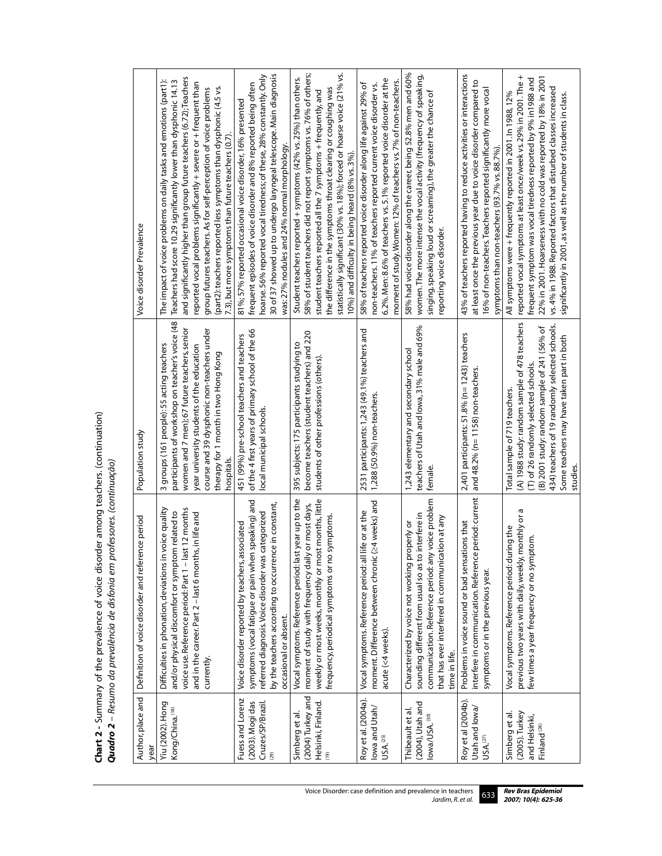**Chart 2 -** Summary of the prevalence of voice disorder among teachers. (continuation)<br>**Quadro 2** - Resumo da prevalência de disfonia em professores. (continuação) **Chart 2** - Summary of the prevalence of voice disorder among teachers. (continuation) *Quadro 2 – Resumo da prevalência de disfonia em professores. (continuação)*

| Voice disorder Prevalence                         | and significantly higher than group future teachers (6.72); Teachers<br>The impact of voice problems on daily tasks and emotions (part1):<br>Teachers had score 10.29 significantly lower than dysphonic 14.13<br>eported vocal problems significantly + severe or + frequent than<br>(part2): teachers reported less symptoms than dysphonic (4.5 vs.<br>group futures teachers. As for self-perception of voice problems<br>7.3), but more symptoms than future teachers (0.7) | 30 of 37 showed up to undergo laryngeal telescope. Main diagnosis<br>hoarse. 56% reported vocal tiredness; of these, 28% constantly. Only<br>frequent episodes of voice disorder and 8% reported being often<br>81%; 57% reported occasional voice disorder, 16% presented<br>was: 27% nodules and 24% normal morphology. | statistically significant (30% vs. 18%); forced or hoarse voice (21% vs.<br>58% of student teachers did not report symptoms vs. 76% of others;<br>Student teachers reported + symptoms (42% vs. 25%) than others.<br>the difference in the symptoms throat clearing or coughing was<br>student teachers reported all the 7 symptoms + frequently, and<br>10%) and difficulty in being heard (8% vs. 3%) | 6.2%. Men: 8.6% of teachers vs. 5.1% reported voice disorder at the<br>moment of study. Women: 12% of teachers vs. 7% of non-teachers.<br>58% of teachers reported voice disorder along life against 29% of<br>non-teachers. 11% of teachers reported current voice disorder vs. | 58% had voice disorder along the career, being 52.8% men and 60%<br>women. The more intense the vocal activity (frequency of speaking,<br>singing, speaking loud or screaming), the greater the chance of<br>reporting voice disorder. | 43% of teachers reported having to reduce activities or interactions<br>at least once the previous year due to voice disorder compared to<br>16% of non-teachers. Teachers reported significantly more vocal<br>symptoms than non-teachers (93.7% vs. 88.7%). | $\ddot{}$<br>frequent symptom was vocal tiredness reported by 9% in1988 and<br>22% in 2001. Hoarseness with no cold was reported by 18% in 2001<br>reported vocal symptoms at least once/week vs. 29% in 2001. The<br>vs. 4% in 1988. Reported factors that disturbed classes increased<br>All symptoms were + frequently reported in 2001. In 1988, 12%<br>significantly in 2001, as well as the number of students in class. |
|---------------------------------------------------|----------------------------------------------------------------------------------------------------------------------------------------------------------------------------------------------------------------------------------------------------------------------------------------------------------------------------------------------------------------------------------------------------------------------------------------------------------------------------------|---------------------------------------------------------------------------------------------------------------------------------------------------------------------------------------------------------------------------------------------------------------------------------------------------------------------------|---------------------------------------------------------------------------------------------------------------------------------------------------------------------------------------------------------------------------------------------------------------------------------------------------------------------------------------------------------------------------------------------------------|----------------------------------------------------------------------------------------------------------------------------------------------------------------------------------------------------------------------------------------------------------------------------------|----------------------------------------------------------------------------------------------------------------------------------------------------------------------------------------------------------------------------------------|---------------------------------------------------------------------------------------------------------------------------------------------------------------------------------------------------------------------------------------------------------------|--------------------------------------------------------------------------------------------------------------------------------------------------------------------------------------------------------------------------------------------------------------------------------------------------------------------------------------------------------------------------------------------------------------------------------|
| Population study                                  | participants of workshop on teacher's voice (48<br>women and 7 men); 67 future teachers, senior<br>course and 39 dysphonic non-teachers under<br>3 groups (161 people): 55 acting teachers<br>year university students of the education<br>therapy for 1 month in two Hong Kong<br>hospitals.                                                                                                                                                                                    | of the 4 first years of primary school of the 66<br>451 (99%) pre-school teachers and teachers<br>local municipal schools.                                                                                                                                                                                                | become teachers (student teachers) and 220<br>395 subjects: 175 participants studying to<br>students of other professions (others)                                                                                                                                                                                                                                                                      | 2531 participants: 1,243 (49.1%) teachers and<br>1,288 (50.9%) non-teachers                                                                                                                                                                                                      | teachers of Utah and lowa, 31% male and 69%<br>1,243 elementary and secondary school<br>female                                                                                                                                         | 2,401 participants: 51.8% (n= 1243) teachers<br>and 48.2% (n= 1158) non-teachers.                                                                                                                                                                             | (A) 1988 study: random sample of 478 teachers<br>434) teachers of 19 randomly selected schools.<br>(B) 2001 study: random sample of 241 (56% of<br>Some teachers may have taken part in both<br>(T) of 26 randomly selected schools.<br>Total sample of 719 teachers<br>studies                                                                                                                                                |
| Definition of voice disorder and reference period | voice quality<br>voice use. Reference period: Part 1 - last 12 months<br>and/or physical discomfort or symptom related to<br>and in the career. Part 2 - last 6 months, in life and<br>Difficulties in phonation, deviations in<br>currently.                                                                                                                                                                                                                                    | symptoms (vocal fatigue or pain when speaking) and<br>by the teachers according to occurrence in constant,<br>categorized<br>Voice disorder reported by teachers, associated<br>referred diagnosis. Voice disorder was<br>occasional or absent.                                                                           | Vocal symptoms. Reference period: last year up to the<br>weekly or most weeks, monthly or most months, little<br>moment of study with frequency daily or most days,<br>symptoms.<br>frequency, periodical symptoms or no                                                                                                                                                                                | (≥4 weeks) and<br>life or at the<br>moment. Difference between chronic<br>Vocal symptoms. Reference period: all<br>acute (<4 weeks).                                                                                                                                             | communication. Reference period: any voice problem<br>interfere in<br>that has ever interfered in communication at any<br>Characterized by voice not working properly or<br>sounding different from usual so as to<br>time in life.    | interfere in communication. Reference period: current<br>Problems in voice sound or bad sensations that<br>symptoms or in the previous year.                                                                                                                  | previous two years with daily, weekly, monthly or a<br>Vocal symptoms. Reference period: during the<br>few times a year frequency or no symptom.                                                                                                                                                                                                                                                                               |
| Author, place and<br>year                         | Yiu (2002). Hong<br>Kong/China. <sup>(18)</sup>                                                                                                                                                                                                                                                                                                                                                                                                                                  | Fuess and Lorenz<br>(2003). Mogi das<br>Cruzes/SP/Brazil<br>(29)                                                                                                                                                                                                                                                          | (2004) Turkey and<br>Helsinki, Finland.<br>(19)<br>Simberg et al.                                                                                                                                                                                                                                                                                                                                       | Roy et al. (2004a).<br>lowa and Utah/<br>USA <sub>.</sub> (25)                                                                                                                                                                                                                   | $(2004)$ , Utah and<br>Thibeault et al.<br>lowa/USA. <sup>(30)</sup>                                                                                                                                                                   | Roy et al (2004b).<br>Utah and lowa/<br>USA. <sup>(27)</sup>                                                                                                                                                                                                  | (2005). Turkey<br>Simberg et al<br>and Helsinki,<br>Finland <sup>(26)</sup>                                                                                                                                                                                                                                                                                                                                                    |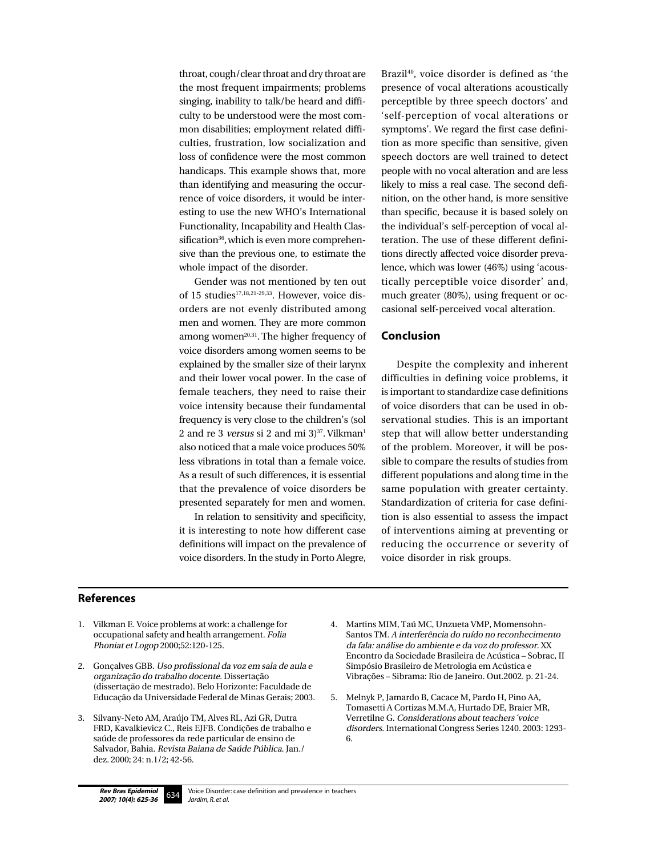throat, cough/clear throat and dry throat are the most frequent impairments; problems singing, inability to talk/be heard and difficulty to be understood were the most common disabilities; employment related difficulties, frustration, low socialization and loss of confidence were the most common handicaps. This example shows that, more than identifying and measuring the occurrence of voice disorders, it would be interesting to use the new WHO's International Functionality, Incapability and Health Classification<sup>36</sup>, which is even more comprehensive than the previous one, to estimate the whole impact of the disorder.

Gender was not mentioned by ten out of 15 studies<sup>17,18,21-29,33</sup>. However, voice disorders are not evenly distributed among men and women. They are more common among women $20,31$ . The higher frequency of voice disorders among women seems to be explained by the smaller size of their larynx and their lower vocal power. In the case of female teachers, they need to raise their voice intensity because their fundamental frequency is very close to the children's (sol 2 and re 3 versus si 2 and mi  $3$ <sup>37</sup>. Vilkman<sup>1</sup> also noticed that a male voice produces 50% less vibrations in total than a female voice. As a result of such differences, it is essential that the prevalence of voice disorders be presented separately for men and women.

In relation to sensitivity and specificity, it is interesting to note how different case definitions will impact on the prevalence of voice disorders. In the study in Porto Alegre, Brazil<sup>40</sup>, voice disorder is defined as 'the presence of vocal alterations acoustically perceptible by three speech doctors' and 'self-perception of vocal alterations or symptoms'. We regard the first case definition as more specific than sensitive, given speech doctors are well trained to detect people with no vocal alteration and are less likely to miss a real case. The second definition, on the other hand, is more sensitive than specific, because it is based solely on the individual's self-perception of vocal alteration. The use of these different definitions directly affected voice disorder prevalence, which was lower (46%) using 'acoustically perceptible voice disorder' and, much greater (80%), using frequent or occasional self-perceived vocal alteration.

#### **Conclusion**

Despite the complexity and inherent difficulties in defining voice problems, it is important to standardize case definitions of voice disorders that can be used in observational studies. This is an important step that will allow better understanding of the problem. Moreover, it will be possible to compare the results of studies from different populations and along time in the same population with greater certainty. Standardization of criteria for case definition is also essential to assess the impact of interventions aiming at preventing or reducing the occurrence or severity of voice disorder in risk groups.

## **References**

- 1. Vilkman E. Voice problems at work: a challenge for occupational safety and health arrangement. Folia Phoniat et Logop 2000;52:120-125.
- 2. Gonçalves GBB. Uso profissional da voz em sala de aula e organização do trabalho docente. Dissertação (dissertação de mestrado). Belo Horizonte: Faculdade de Educação da Universidade Federal de Minas Gerais; 2003.
- 3. Silvany-Neto AM, Araújo TM, Alves RL, Azi GR, Dutra FRD, Kavalkievicz C., Reis EJFB. Condições de trabalho e saúde de professores da rede particular de ensino de Salvador, Bahia. Revista Baiana de Saúde Pública. Jan./ dez. 2000; 24: n.1/2; 42-56.
- 4. Martins MIM, Taú MC, Unzueta VMP, Momensohn-Santos TM. A interferência do ruído no reconhecimento da fala: análise do ambiente e da voz do professor. XX Encontro da Sociedade Brasileira de Acústica – Sobrac, II Simpósio Brasileiro de Metrologia em Acústica e Vibrações – Sibrama: Rio de Janeiro. Out.2002. p. 21-24.
- 5. Melnyk P, Jamardo B, Cacace M, Pardo H, Pino AA, Tomasetti A Cortizas M.M.A, Hurtado DE, Braier MR, Verretilne G. Considerations about teachers´voice disorders. International Congress Series 1240. 2003: 1293- 6.

634 Rev Bras Epidemiol 2007; 10(4): 625-36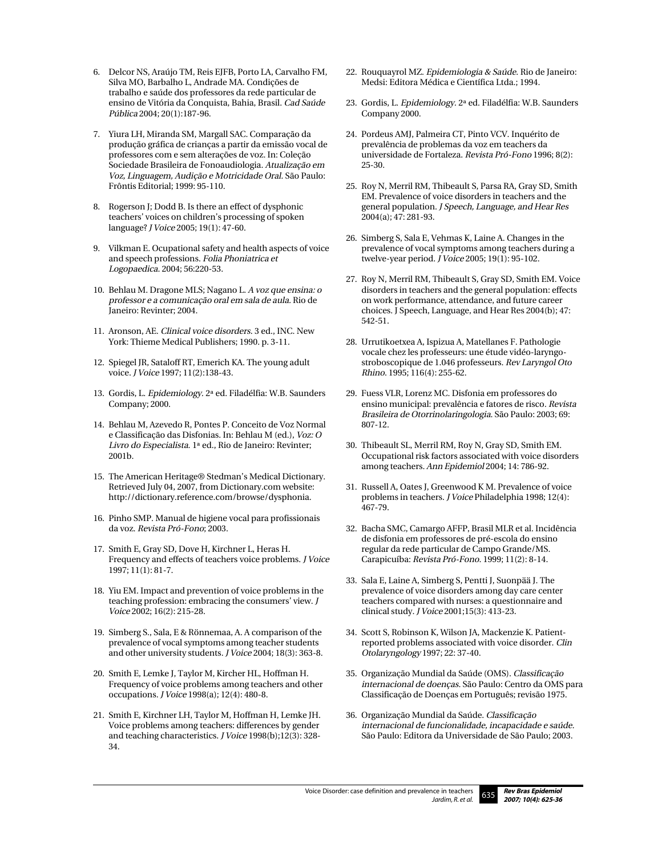- 6. Delcor NS, Araújo TM, Reis EJFB, Porto LA, Carvalho FM, Silva MO, Barbalho L, Andrade MA. Condições de trabalho e saúde dos professores da rede particular de ensino de Vitória da Conquista, Bahia, Brasil. Cad Saúde Pública 2004; 20(1):187-96.
- 7. Yiura LH, Miranda SM, Margall SAC. Comparação da produção gráfica de crianças a partir da emissão vocal de professores com e sem alterações de voz. In: Coleção Sociedade Brasileira de Fonoaudiologia. Atualização em Voz, Linguagem, Audição e Motricidade Oral. São Paulo: Frôntis Editorial; 1999: 95-110.
- 8. Rogerson J; Dodd B. Is there an effect of dysphonic teachers' voices on children's processing of spoken language? J Voice 2005; 19(1): 47-60.
- 9. Vilkman E. Ocupational safety and health aspects of voice and speech professions. Folia Phoniatrica et Logopaedica. 2004; 56:220-53.
- 10. Behlau M. Dragone MLS; Nagano L. A voz que ensina: o professor e a comunicação oral em sala de aula. Rio de Janeiro: Revinter; 2004.
- 11. Aronson, AE. Clinical voice disorders. 3 ed., INC. New York: Thieme Medical Publishers; 1990. p. 3-11.
- 12. Spiegel JR, Sataloff RT, Emerich KA. The young adult voice. J Voice 1997; 11(2):138-43.
- 13. Gordis, L. Epidemiology. 2ª ed. Filadélfia: W.B. Saunders Company; 2000.
- 14. Behlau M, Azevedo R, Pontes P. Conceito de Voz Normal e Classificação das Disfonias. In: Behlau M (ed.), Voz: O Livro do Especialista. 1ª ed., Rio de Janeiro: Revinter; 2001b.
- 15. The American Heritage® Stedman's Medical Dictionary. Retrieved July 04, 2007, from Dictionary.com website: http://dictionary.reference.com/browse/dysphonia.
- 16. Pinho SMP. Manual de higiene vocal para profissionais da voz. Revista Pró-Fono; 2003.
- 17. Smith E, Gray SD, Dove H, Kirchner L, Heras H. Frequency and effects of teachers voice problems. J Voice 1997; 11(1): 81-7.
- 18. Yiu EM. Impact and prevention of voice problems in the teaching profession: embracing the consumers' view. J Voice 2002; 16(2): 215-28.
- 19. Simberg S., Sala, E & Rönnemaa, A. A comparison of the prevalence of vocal symptoms among teacher students and other university students. J Voice 2004; 18(3): 363-8.
- 20. Smith E, Lemke J, Taylor M, Kircher HL, Hoffman H. Frequency of voice problems among teachers and other occupations. J Voice 1998(a); 12(4): 480-8.
- 21. Smith E, Kirchner LH, Taylor M, Hoffman H, Lemke JH. Voice problems among teachers: differences by gender and teaching characteristics. J Voice 1998(b);12(3): 328- 34.
- 22. Rouquayrol MZ. Epidemiologia & Saúde. Rio de Janeiro: Medsi: Editora Médica e Científica Ltda.; 1994.
- 23. Gordis, L. Epidemiology. 2ª ed. Filadélfia: W.B. Saunders Company 2000.
- 24. Pordeus AMJ, Palmeira CT, Pinto VCV. Inquérito de prevalência de problemas da voz em teachers da universidade de Fortaleza. Revista Pró-Fono 1996; 8(2): 25-30.
- 25. Roy N, Merril RM, Thibeault S, Parsa RA, Gray SD, Smith EM. Prevalence of voice disorders in teachers and the general population. J Speech, Language, and Hear Res 2004(a); 47: 281-93.
- 26. Simberg S, Sala E, Vehmas K, Laine A. Changes in the prevalence of vocal symptoms among teachers during a twelve-year period. J Voice 2005; 19(1): 95-102.
- 27. Roy N, Merril RM, Thibeault S, Gray SD, Smith EM. Voice disorders in teachers and the general population: effects on work performance, attendance, and future career choices. J Speech, Language, and Hear Res 2004(b); 47: 542-51.
- 28. Urrutikoetxea A, Ispizua A, Matellanes F. Pathologie vocale chez les professeurs: une étude vidéo-laryngostroboscopique de 1.046 professeurs. Rev Laryngol Oto Rhino. 1995; 116(4): 255-62.
- 29. Fuess VLR, Lorenz MC. Disfonia em professores do ensino municipal: prevalência e fatores de risco. Revista Brasileira de Otorrinolaringologia. São Paulo: 2003; 69: 807-12.
- 30. Thibeault SL, Merril RM, Roy N, Gray SD, Smith EM. Occupational risk factors associated with voice disorders among teachers. Ann Epidemiol 2004; 14: 786-92.
- 31. Russell A, Oates J, Greenwood K M. Prevalence of voice problems in teachers. J Voice Philadelphia 1998; 12(4): 467-79.
- 32. Bacha SMC, Camargo AFFP, Brasil MLR et al. Incidência de disfonia em professores de pré-escola do ensino regular da rede particular de Campo Grande/MS. Carapicuíba: Revista Pró-Fono. 1999; 11(2): 8-14.
- 33. Sala E, Laine A, Simberg S, Pentti J, Suonpää J. The prevalence of voice disorders among day care center teachers compared with nurses: a questionnaire and clinical study. J Voice 2001;15(3): 413-23.
- 34. Scott S, Robinson K, Wilson JA, Mackenzie K. Patientreported problems associated with voice disorder. Clin Otolaryngology 1997; 22: 37-40.
- 35. Organização Mundial da Saúde (OMS). Classificação internacional de doenças. São Paulo: Centro da OMS para Classificação de Doenças em Português; revisão 1975.
- 36. Organização Mundial da Saúde. Classificação internacional de funcionalidade, incapacidade e saúde. São Paulo: Editora da Universidade de São Paulo; 2003.